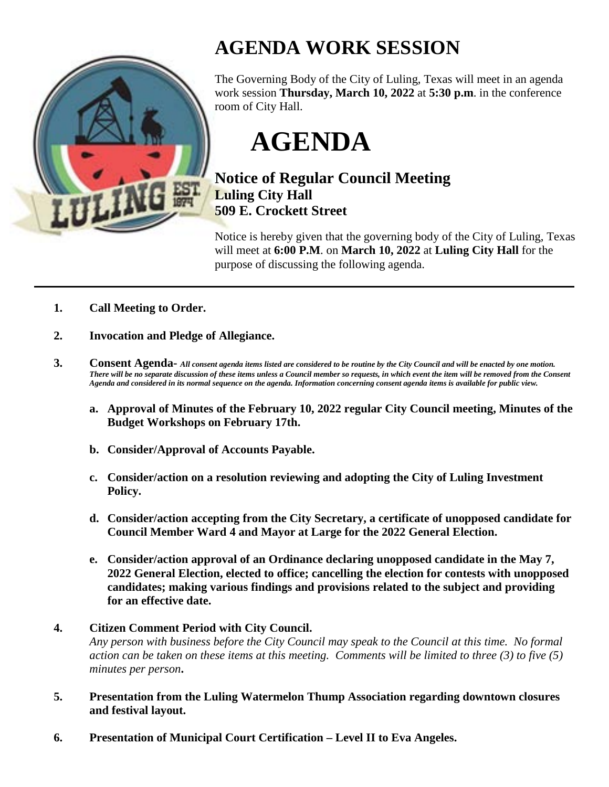

## **AGENDA WORK SESSION**

The Governing Body of the City of Luling, Texas will meet in an agenda work session **Thursday, March 10, 2022** at **5:30 p.m**. in the conference room of City Hall.

**AGENDA**

## **Notice of Regular Council Meeting Luling City Hall 509 E. Crockett Street**

Notice is hereby given that the governing body of the City of Luling, Texas will meet at **6:00 P.M**. on **March 10, 2022** at **Luling City Hall** for the purpose of discussing the following agenda.

- **1. Call Meeting to Order.**
- **2. Invocation and Pledge of Allegiance.**
- **3. Consent Agenda-** *All consent agenda items listed are considered to be routine by the City Council and will be enacted by one motion. There will be no separate discussion of these items unless a Council member so requests, in which event the item will be removed from the Consent Agenda and considered in its normal sequence on the agenda. Information concerning consent agenda items is available for public view.*
	- **a. Approval of Minutes of the February 10, 2022 regular City Council meeting, Minutes of the Budget Workshops on February 17th.**
	- **b. Consider/Approval of Accounts Payable.**
	- **c. Consider/action on a resolution reviewing and adopting the City of Luling Investment Policy.**
	- **d. Consider/action accepting from the City Secretary, a certificate of unopposed candidate for Council Member Ward 4 and Mayor at Large for the 2022 General Election.**
	- **e. Consider/action approval of an Ordinance declaring unopposed candidate in the May 7, 2022 General Election, elected to office; cancelling the election for contests with unopposed candidates; making various findings and provisions related to the subject and providing for an effective date.**
- **4. Citizen Comment Period with City Council.**

*Any person with business before the City Council may speak to the Council at this time. No formal action can be taken on these items at this meeting. Comments will be limited to three (3) to five (5) minutes per person***.**

- **5. Presentation from the Luling Watermelon Thump Association regarding downtown closures and festival layout.**
- **6. Presentation of Municipal Court Certification – Level II to Eva Angeles.**